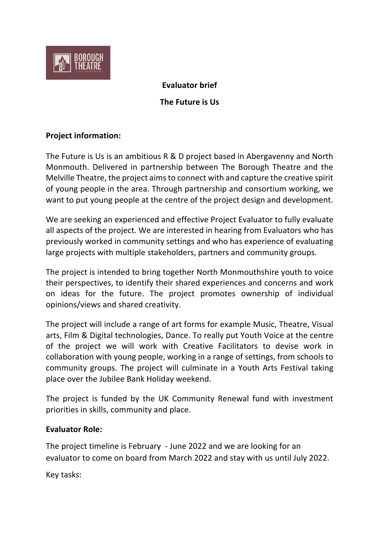

**Evaluator brief**

**The Future is Us** 

# **Project information:**

The Future is Us is an ambitious R & D project based in Abergavenny and North Monmouth. Delivered in partnership between The Borough Theatre and the Melville Theatre, the project aims to connect with and capture the creative spirit of young people in the area. Through partnership and consortium working, we want to put young people at the centre of the project design and development.

We are seeking an experienced and effective Project Evaluator to fully evaluate all aspects of the project. We are interested in hearing from Evaluators who has previously worked in community settings and who has experience of evaluating large projects with multiple stakeholders, partners and community groups.

The project is intended to bring together North Monmouthshire youth to voice their perspectives, to identify their shared experiences and concerns and work on ideas for the future. The project promotes ownership of individual opinions/views and shared creativity.

The project will include a range of art forms for example Music, Theatre, Visual arts, Film & Digital technologies, Dance. To really put Youth Voice at the centre of the project we will work with Creative Facilitators to devise work in collaboration with young people, working in a range of settings, from schools to community groups. The project will culminate in a Youth Arts Festival taking place over the Jubilee Bank Holiday weekend.

The project is funded by the UK Community Renewal fund with investment priorities in skills, community and place.

#### **Evaluator Role:**

The project timeline is February - June 2022 and we are looking for an evaluator to come on board from March 2022 and stay with us until July 2022.

Key tasks: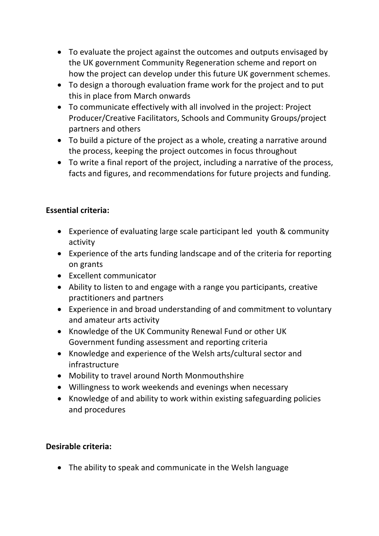- To evaluate the project against the outcomes and outputs envisaged by the UK government Community Regeneration scheme and report on how the project can develop under this future UK government schemes.
- To design a thorough evaluation frame work for the project and to put this in place from March onwards
- To communicate effectively with all involved in the project: Project Producer/Creative Facilitators, Schools and Community Groups/project partners and others
- To build a picture of the project as a whole, creating a narrative around the process, keeping the project outcomes in focus throughout
- To write a final report of the project, including a narrative of the process, facts and figures, and recommendations for future projects and funding.

# **Essential criteria:**

- Experience of evaluating large scale participant led youth & community activity
- Experience of the arts funding landscape and of the criteria for reporting on grants
- Excellent communicator
- Ability to listen to and engage with a range you participants, creative practitioners and partners
- Experience in and broad understanding of and commitment to voluntary and amateur arts activity
- Knowledge of the UK Community Renewal Fund or other UK Government funding assessment and reporting criteria
- Knowledge and experience of the Welsh arts/cultural sector and infrastructure
- Mobility to travel around North Monmouthshire
- Willingness to work weekends and evenings when necessary
- Knowledge of and ability to work within existing safeguarding policies and procedures

#### **Desirable criteria:**

• The ability to speak and communicate in the Welsh language